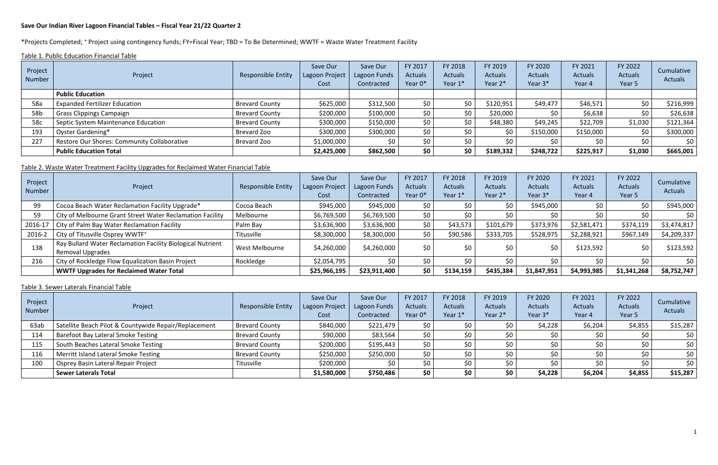#### **Save Our Indian River Lagoon Financial Tables – Fiscal Year 21/22 Quarter 2**

\*Projects Completed; ⁺ Project using contingency funds; FY=Fiscal Year; TBD = To Be Determined; WWTF = Waste Water Treatment Facility

Table 1. Public Education Financial Table

| Project<br>Number | Project                                     | Responsible Entity    | Save Our<br>Lagoon Project<br>Cost | Save Our<br>Lagoon Funds<br>Contracted | FY 2017<br><b>Actuals</b><br>Year 0* | FY 2018<br><b>Actuals</b><br>Year 1* | FY 2019<br><b>Actuals</b><br>Year 2* | FY 2020<br><b>Actuals</b><br>Year 3* | FY 2021<br>Actuals<br>Year 4 | FY 2022<br><b>Actuals</b><br>Year 5 | Cumulative<br><b>Actuals</b> |
|-------------------|---------------------------------------------|-----------------------|------------------------------------|----------------------------------------|--------------------------------------|--------------------------------------|--------------------------------------|--------------------------------------|------------------------------|-------------------------------------|------------------------------|
|                   | <b>Public Education</b>                     |                       |                                    |                                        |                                      |                                      |                                      |                                      |                              |                                     |                              |
| 58a               | <b>Expanded Fertilizer Education</b>        | <b>Brevard County</b> | \$625,000                          | \$312,500                              | \$0                                  | \$0                                  | \$120,951                            | \$49,477                             | \$46,571                     | \$0                                 | \$216,999                    |
| 58b               | <b>Grass Clippings Campaign</b>             | <b>Brevard County</b> | \$200,000                          | \$100,000                              | \$0                                  | \$0                                  | \$20,000                             |                                      | \$6,638                      |                                     | \$26,638                     |
| 58c               | Septic System Maintenance Education         | <b>Brevard County</b> | \$300,000                          | \$150,000                              | \$0                                  | \$0                                  | \$48,380                             | \$49,245                             | \$22,709                     | \$1,030                             | \$121,364                    |
| 193               | Oyster Gardening*                           | Brevard Zoo           | \$300,000                          | \$300,000                              | \$0                                  | \$0                                  | \$0                                  | \$150,000                            | \$150,000                    | \$0                                 | \$300,000                    |
| 227               | Restore Our Shores: Community Collaborative | Brevard Zoo           | \$1,000,000                        |                                        | \$0                                  | \$0                                  | \$0                                  |                                      | \$0                          | \$0                                 | \$0                          |
|                   | <b>Public Education Total</b>               |                       | \$2,425,000                        | \$862,500                              | \$0                                  | \$0                                  | \$189,332                            | \$248,722                            | \$225,917                    | \$1,030                             | \$665,001                    |

## Table 2. Waste Water Treatment Facility Upgrades for Reclaimed Water Financial Table

| Project<br>Number | Project                                                                               | <b>Responsible Entity</b> | Save Our<br>Lagoon Project<br>Cost | Save Our<br>Lagoon Funds<br>Contracted | FY 2017<br><b>Actuals</b><br>Year 0* | FY 2018<br><b>Actuals</b><br>Year 1* | FY 2019<br><b>Actuals</b><br>Year 2* | FY 2020<br><b>Actuals</b><br>Year 3* | FY 2021<br>Actuals<br>Year 4 | FY 2022<br><b>Actuals</b><br>Year 5 | Cumulative<br>Actuals |
|-------------------|---------------------------------------------------------------------------------------|---------------------------|------------------------------------|----------------------------------------|--------------------------------------|--------------------------------------|--------------------------------------|--------------------------------------|------------------------------|-------------------------------------|-----------------------|
| 99                | Cocoa Beach Water Reclamation Facility Upgrade*                                       | Cocoa Beach               | \$945,000                          | \$945,000                              | \$0                                  | \$0                                  | \$0                                  | \$945,000                            |                              | S0                                  | \$945,000             |
| 59                | City of Melbourne Grant Street Water Reclamation Facility                             | Melbourne                 | \$6,769,500                        | \$6,769,500                            | \$0                                  | ςი                                   | \$0                                  |                                      |                              |                                     | \$0                   |
| 2016-17           | City of Palm Bay Water Reclamation Facility                                           | Palm Bay                  | \$3,636,900                        | \$3,636,900                            | \$0                                  | \$43,573                             | \$101,679                            | \$373,976                            | \$2,581,471                  | \$374,119                           | \$3,474,817           |
| 2016-2            | City of Titusville Osprey WWTF <sup>+</sup>                                           | Titusville                | \$8,300,000                        | \$8,300,000                            | \$0                                  | \$90,586                             | \$333,705                            | \$528,975                            | \$2,288,921                  | \$967,149                           | \$4,209,337           |
| 138               | Ray Bullard Water Reclamation Facility Biological Nutrient<br><b>Removal Upgrades</b> | West Melbourne            | \$4,260,000                        | \$4,260,000                            | \$0                                  | \$0                                  | \$0                                  | \$0                                  | \$123,592                    | S0                                  | \$123,592             |
| 216               | City of Rockledge Flow Equalization Basin Project                                     | Rockledge                 | \$2,054,795                        |                                        | \$0                                  | \$0                                  | \$0.                                 |                                      | S0                           |                                     | \$0                   |
|                   | <b>WWTF Upgrades for Reclaimed Water Total</b>                                        |                           | \$25,966,195                       | \$23,911,400                           | \$0                                  | \$134,159                            | \$435,384                            | \$1,847,951                          | \$4,993,985                  | \$1,341,268                         | \$8,752,747           |

#### Table 3. Sewer Laterals Financial Table

| Project<br>Number | Project                                               | <b>Responsible Entity</b> | Save Our<br>Lagoon Project<br>Cost | Save Our<br>Lagoon Funds<br>Contracted | FY 2017<br><b>Actuals</b><br>Year 0* | FY 2018<br><b>Actuals</b><br>Year 1* | FY 2019<br><b>Actuals</b><br>Year 2* | FY 2020<br><b>Actuals</b><br>Year 3* | FY 2021<br>Actuals<br>Year 4 | FY 2022<br>Actuals<br>Year 5 | Cumulative<br>Actuals |
|-------------------|-------------------------------------------------------|---------------------------|------------------------------------|----------------------------------------|--------------------------------------|--------------------------------------|--------------------------------------|--------------------------------------|------------------------------|------------------------------|-----------------------|
| 63ab              | Satellite Beach Pilot & Countywide Repair/Replacement | <b>Brevard County</b>     | \$840,000                          | \$221,479                              | \$0                                  | \$0                                  | \$0                                  | \$4,228                              | \$6,204                      | \$4,855                      | \$15,287              |
| 114               | Barefoot Bay Lateral Smoke Testing                    | <b>Brevard County</b>     | \$90,000                           | \$83,564                               | \$0\$                                | \$0                                  | \$0                                  |                                      | ¢∩                           |                              | 50 <sub>1</sub>       |
| 115               | South Beaches Lateral Smoke Testing                   | <b>Brevard County</b>     | \$200,000                          | \$195,443                              | 50 <sup>°</sup>                      | \$0                                  | \$0                                  |                                      | \$0                          | \$0                          | \$0                   |
| 116               | Merritt Island Lateral Smoke Testing                  | <b>Brevard County</b>     | \$250,000                          | \$250,000                              | \$0                                  | \$0                                  | \$0                                  |                                      | ל∩                           |                              | \$0                   |
| 100               | <sup>I</sup> Osprey Basin Lateral Repair Project      | Titusville                | \$200,000                          |                                        | \$0                                  | ۹n                                   | \$0                                  |                                      | ל∩                           | ר∩                           | \$0                   |
|                   | <b>Sewer Laterals Total</b>                           |                           | \$1,580,000                        | \$750,486                              | \$0\$                                | \$0                                  | \$0                                  | \$4,228                              | \$6,204                      | \$4,855                      | \$15,287              |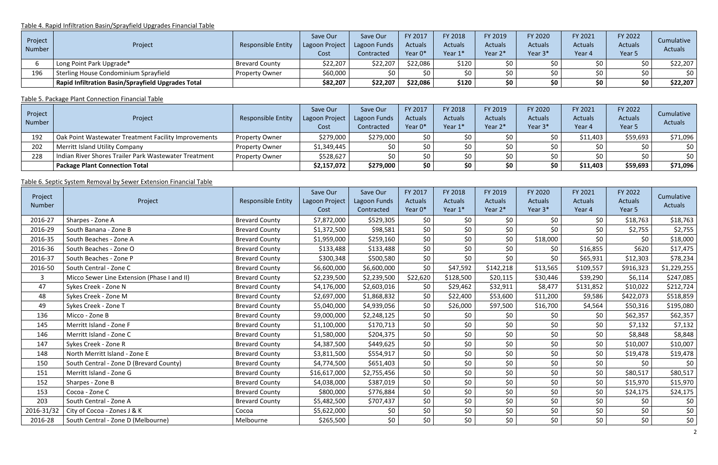### Table 4. Rapid Infiltration Basin/Sprayfield Upgrades Financial Table

| Project<br>Number | Project                                                   | Responsible Entity    | Save Our<br>Lagoon Project<br>Cost | Save Our<br>Lagoon Funds<br>Contracted | FY 2017<br><b>Actuals</b><br>Year 0* | FY 2018<br><b>Actuals</b><br>Year 1* | FY 2019<br><b>Actuals</b><br>Year 2* | FY 2020<br><b>Actuals</b><br>Year 3* | FY 2021<br><b>Actuals</b><br>Year 4 | FY 2022<br><b>Actuals</b><br>Year 5 | Cumulative<br><b>Actuals</b> |
|-------------------|-----------------------------------------------------------|-----------------------|------------------------------------|----------------------------------------|--------------------------------------|--------------------------------------|--------------------------------------|--------------------------------------|-------------------------------------|-------------------------------------|------------------------------|
|                   | Long Point Park Upgrade*                                  | <b>Brevard County</b> | \$22,207                           | \$22,207                               | \$22,086                             | \$120                                | \$0                                  |                                      |                                     |                                     | \$22,207                     |
| 196               | Sterling House Condominium Sprayfield                     | Property Owner        | \$60,000                           |                                        | \$0                                  | \$0                                  | \$0                                  |                                      |                                     | \$0.                                | \$0                          |
|                   | <b>Rapid Infiltration Basin/Sprayfield Upgrades Total</b> |                       | \$82,207                           | \$22,207                               | \$22,086                             | \$120                                | \$0                                  | ςu                                   | \$0                                 | \$0                                 | \$22,207                     |

## Table 5. Package Plant Connection Financial Table

| Project<br>Number | Project                                               | <b>Responsible Entity</b> | Save Our<br>Lagoon Project<br>Cost | Save Our<br>Lagoon Funds<br>Contracted | FY 2017<br><b>Actuals</b><br>Year 0* | FY 2018<br><b>Actuals</b><br>Year 1* | FY 2019<br><b>Actuals</b><br>Year 2* | FY 2020<br><b>Actuals</b><br>Year 3* | FY 2021<br><b>Actuals</b><br>Year 4 | FY 2022<br><b>Actuals</b><br>Year 5 | Cumulative<br>Actuals |
|-------------------|-------------------------------------------------------|---------------------------|------------------------------------|----------------------------------------|--------------------------------------|--------------------------------------|--------------------------------------|--------------------------------------|-------------------------------------|-------------------------------------|-----------------------|
| 192               | Oak Point Wastewater Treatment Facility Improvements  | <b>Property Owner</b>     | \$279,000                          | \$279,000∣                             | \$0                                  | \$0                                  | ל∩                                   | ¢η                                   | \$11,403                            | \$59,693                            | \$71,096              |
| 202               | <b>Merritt Island Utility Company</b>                 | <b>Property Owner</b>     | \$1,349,445                        | ¢∩                                     | \$0                                  | \$0 <sub>1</sub>                     | ¢∩                                   | ¢∩                                   | \$0                                 | SO.                                 | \$0                   |
| 228               | Indian River Shores Trailer Park Wastewater Treatment | <b>Property Owner</b>     | \$528,627                          |                                        | \$0                                  | \$0                                  | ¢∩                                   | ¢Λ                                   | ל∩                                  |                                     | \$0                   |
|                   | <b>Package Plant Connection Total</b>                 |                           | \$2,157,072                        | \$279,000                              | \$0                                  | \$0                                  | \$0                                  |                                      | \$11,403                            | \$59,693                            | \$71,096              |

## Table 6. Septic System Removal by Sewer Extension Financial Table

| Project<br><b>Number</b> | Project                                     | <b>Responsible Entity</b> | Save Our<br>Lagoon Project<br>Cost | Save Our<br>Lagoon Funds<br>Contracted | FY 2017<br><b>Actuals</b><br>Year 0* | FY 2018<br><b>Actuals</b><br>Year 1* | FY 2019<br>Actuals<br>Year 2* | FY 2020<br>Actuals<br>Year 3* | FY 2021<br><b>Actuals</b><br>Year 4 | FY 2022<br>Actuals<br>Year 5 | Cumulative<br>Actuals |
|--------------------------|---------------------------------------------|---------------------------|------------------------------------|----------------------------------------|--------------------------------------|--------------------------------------|-------------------------------|-------------------------------|-------------------------------------|------------------------------|-----------------------|
| 2016-27                  | Sharpes - Zone A                            | <b>Brevard County</b>     | \$7,872,000                        | \$529,305                              | \$0                                  | \$0\$                                | \$0                           | \$0                           | \$0                                 | \$18,763                     | \$18,763              |
| 2016-29                  | South Banana - Zone B                       | <b>Brevard County</b>     | \$1,372,500                        | \$98,581                               | \$0                                  | \$0                                  | \$0                           | \$0                           | \$0                                 | \$2,755                      | \$2,755               |
| 2016-35                  | South Beaches - Zone A                      | <b>Brevard County</b>     | \$1,959,000                        | \$259,160                              | \$0                                  | \$0\$                                | \$0                           | \$18,000                      | \$0\$                               | \$0                          | \$18,000              |
| 2016-36                  | South Beaches - Zone O                      | <b>Brevard County</b>     | \$133,488                          | \$133,488                              | \$0                                  | \$0                                  | \$0                           | \$0                           | \$16,855                            | \$620                        | \$17,475              |
| 2016-37                  | South Beaches - Zone P                      | <b>Brevard County</b>     | \$300,348                          | \$500,580                              | \$0                                  | \$0                                  | \$0                           | \$0                           | \$65,931                            | \$12,303                     | \$78,234              |
| 2016-50                  | South Central - Zone C                      | <b>Brevard County</b>     | \$6,600,000                        | \$6,600,000                            | \$0                                  | \$47,592                             | \$142,218                     | \$13,565                      | \$109,557                           | \$916,323                    | \$1,229,255           |
| $\overline{3}$           | Micco Sewer Line Extension (Phase I and II) | <b>Brevard County</b>     | \$2,239,500                        | \$2,239,500                            | \$22,620                             | \$128,500                            | \$20,115                      | \$30,446                      | \$39,290                            | \$6,114                      | \$247,085             |
| 47                       | Sykes Creek - Zone N                        | <b>Brevard County</b>     | \$4,176,000                        | \$2,603,016                            | \$0                                  | \$29,462                             | \$32,911                      | \$8,477                       | \$131,852                           | \$10,022                     | \$212,724             |
| 48                       | Sykes Creek - Zone M                        | <b>Brevard County</b>     | \$2,697,000                        | \$1,868,832                            | \$0                                  | \$22,400                             | \$53,600                      | \$11,200                      | \$9,586                             | \$422,073                    | \$518,859             |
| 49                       | Sykes Creek - Zone T                        | <b>Brevard County</b>     | \$5,040,000                        | \$4,939,056                            | \$0                                  | \$26,000                             | \$97,500                      | \$16,700                      | \$4,564                             | \$50,316                     | \$195,080             |
| 136                      | Micco - Zone B                              | <b>Brevard County</b>     | \$9,000,000                        | \$2,248,125                            | \$0                                  | \$0                                  | \$0                           | \$0                           | \$0                                 | \$62,357                     | \$62,357              |
| 145                      | Merritt Island - Zone F                     | <b>Brevard County</b>     | \$1,100,000                        | \$170,713                              | \$0                                  | \$0                                  | \$0                           | \$0                           | \$0                                 | \$7,132                      | \$7,132               |
| 146                      | Merritt Island - Zone C                     | <b>Brevard County</b>     | \$1,580,000                        | \$204,375                              | \$0                                  | \$0                                  | \$0                           | \$0                           | \$0                                 | \$8,848                      | \$8,848               |
| 147                      | Sykes Creek - Zone R                        | <b>Brevard County</b>     | \$4,387,500                        | \$449,625                              | \$0                                  | \$0                                  | \$0                           | \$0                           | \$0                                 | \$10,007                     | \$10,007              |
| 148                      | North Merritt Island - Zone E               | <b>Brevard County</b>     | \$3,811,500                        | \$554,917                              | \$0                                  | \$0\$                                | \$0                           | \$0                           | \$0                                 | \$19,478                     | \$19,478              |
| 150                      | South Central - Zone D (Brevard County)     | <b>Brevard County</b>     | \$4,774,500                        | \$651,403                              | \$0                                  | \$0                                  | \$0                           | \$0                           | \$0\$                               | \$0                          | \$0                   |
| 151                      | Merritt Island - Zone G                     | <b>Brevard County</b>     | \$16,617,000                       | \$2,755,456                            | \$0                                  | \$0                                  | \$0                           | \$0                           | \$0                                 | \$80,517                     | \$80,517              |
| 152                      | Sharpes - Zone B                            | <b>Brevard County</b>     | \$4,038,000                        | \$387,019                              | \$0                                  | \$0                                  | \$0                           | \$0                           | \$0                                 | \$15,970                     | \$15,970              |
| 153                      | Cocoa - Zone C                              | <b>Brevard County</b>     | \$800,000                          | \$776,884                              | \$0                                  | \$0                                  | \$0                           | \$0                           | \$0                                 | \$24,175                     | \$24,175              |
| 203                      | South Central - Zone A                      | <b>Brevard County</b>     | \$5,482,500                        | \$707,437                              | \$0                                  | \$0                                  | \$0                           | \$0                           | \$0                                 | \$0                          | \$0                   |
| 2016-31/32               | City of Cocoa - Zones J & K                 | Cocoa                     | \$5,622,000                        | \$0\$                                  | \$0                                  | \$0                                  | \$0                           | \$0                           | \$0                                 | \$0                          | \$0                   |
| 2016-28                  | South Central - Zone D (Melbourne)          | Melbourne                 | \$265,500                          | \$0\$                                  | \$0                                  | \$0                                  | \$0                           | \$0                           | \$0                                 | \$0\$                        | \$0\$                 |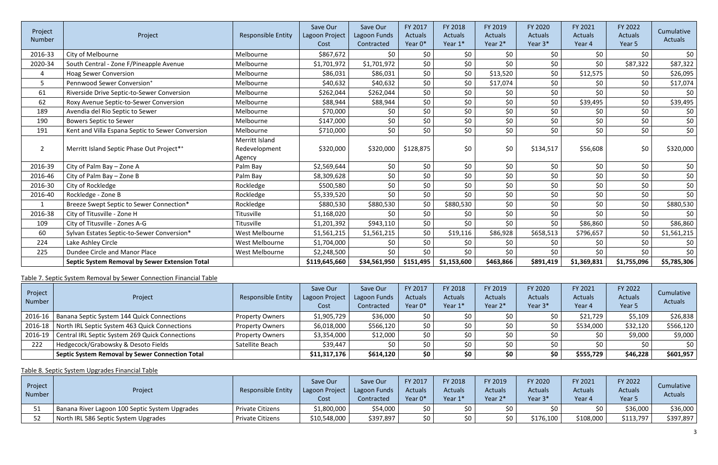| Project<br><b>Number</b> | Project                                          | <b>Responsible Entity</b>                 | Save Our<br>Lagoon Project<br>Cost | Save Our<br>Lagoon Funds<br>Contracted | FY 2017<br><b>Actuals</b><br>Year 0* | FY 2018<br><b>Actuals</b><br>Year 1* | FY 2019<br><b>Actuals</b><br>Year 2* | FY 2020<br><b>Actuals</b><br>Year 3* | FY 2021<br>Actuals<br>Year 4 | FY 2022<br><b>Actuals</b><br>Year 5 | Cumulative<br>Actuals |
|--------------------------|--------------------------------------------------|-------------------------------------------|------------------------------------|----------------------------------------|--------------------------------------|--------------------------------------|--------------------------------------|--------------------------------------|------------------------------|-------------------------------------|-----------------------|
| 2016-33                  | City of Melbourne                                | Melbourne                                 | \$867,672                          | \$0                                    | \$0                                  | \$0                                  | \$0                                  | \$0                                  | \$0                          | \$0                                 | \$0                   |
| 2020-34                  | South Central - Zone F/Pineapple Avenue          | Melbourne                                 | \$1,701,972                        | \$1,701,972                            | \$0                                  | \$0                                  | \$0                                  | \$0                                  | \$0                          | \$87,322                            | \$87,322              |
| 4                        | <b>Hoag Sewer Conversion</b>                     | Melbourne                                 | \$86,031                           | \$86,031                               | \$0\$                                | \$0                                  | \$13,520                             | \$0                                  | \$12,575                     | \$0                                 | \$26,095              |
| 5                        | Pennwood Sewer Conversion <sup>+</sup>           | Melbourne                                 | \$40,632                           | \$40,632                               | \$0                                  | \$0                                  | \$17,074                             | \$0                                  | \$0                          | \$0                                 | \$17,074              |
| 61                       | Riverside Drive Septic-to-Sewer Conversion       | Melbourne                                 | \$262,044                          | \$262,044                              | \$0                                  | \$0                                  | \$0                                  | \$0                                  | \$0                          | \$0\$                               | \$0                   |
| 62                       | Roxy Avenue Septic-to-Sewer Conversion           | Melbourne                                 | \$88,944                           | \$88,944                               | \$0                                  | \$0                                  | \$0                                  | \$0                                  | \$39,495                     | \$0                                 | \$39,495              |
| 189                      | Avendia del Rio Septic to Sewer                  | Melbourne                                 | \$70,000                           | \$0                                    | \$0                                  | \$0                                  | \$0                                  | \$0                                  | \$0                          | \$0\$                               | \$0                   |
| 190                      | <b>Bowers Septic to Sewer</b>                    | Melbourne                                 | \$147,000                          | \$0\$                                  | \$0                                  | \$0                                  | \$0                                  | \$0                                  | \$0\$                        | \$0\$                               | \$0                   |
| 191                      | Kent and Villa Espana Septic to Sewer Conversion | Melbourne                                 | \$710,000                          | \$0                                    | \$0                                  | \$0\$                                | \$0                                  | \$0                                  | \$0\$                        | \$0                                 | \$0\$                 |
| $\overline{2}$           | Merritt Island Septic Phase Out Project**        | Merritt Island<br>Redevelopment<br>Agency | \$320,000                          | \$320,000                              | \$128,875                            | \$0                                  | \$0                                  | \$134,517                            | \$56,608                     | \$0                                 | \$320,000             |
| 2016-39                  | City of Palm Bay - Zone A                        | Palm Bay                                  | \$2,569,644                        | \$0                                    | \$0                                  | \$0                                  | \$0                                  | \$0                                  | \$0                          | \$0                                 | \$0                   |
| 2016-46                  | City of Palm Bay - Zone B                        | Palm Bay                                  | \$8,309,628                        | \$0\$                                  | \$0                                  | \$0\$                                | \$0                                  | \$0                                  | \$0                          | \$0\$                               | \$0                   |
| 2016-30                  | City of Rockledge                                | Rockledge                                 | \$500,580                          | \$0\$                                  | \$0                                  | \$0                                  | \$0                                  | \$0                                  | \$0                          | \$0\$                               | \$0                   |
| 2016-40                  | Rockledge - Zone B                               | Rockledge                                 | \$5,339,520                        | \$0\$                                  | \$0                                  | \$0                                  | \$0                                  | \$0                                  | \$0\$                        | \$0                                 | \$0                   |
| 1                        | Breeze Swept Septic to Sewer Connection*         | Rockledge                                 | \$880,530                          | \$880,530                              | \$0                                  | \$880,530                            | \$0                                  | \$0                                  | \$0                          | \$0\$                               | \$880,530             |
| 2016-38                  | City of Titusville - Zone H                      | Titusville                                | \$1,168,020                        | \$0                                    | \$0                                  | \$0                                  | \$0                                  | \$0                                  | \$0\$                        | \$0\$                               | \$0                   |
| 109                      | City of Titusville - Zones A-G                   | Titusville                                | \$1,201,392                        | \$943,110                              | \$0\$                                | \$0                                  | \$0                                  | \$0                                  | \$86,860                     | \$0\$                               | \$86,860              |
| 60                       | Sylvan Estates Septic-to-Sewer Conversion*       | West Melbourne                            | \$1,561,215                        | \$1,561,215                            | \$0                                  | \$19,116                             | \$86,928                             | \$658,513                            | \$796,657                    | \$0                                 | \$1,561,215           |
| 224                      | Lake Ashley Circle                               | West Melbourne                            | \$1,704,000                        | \$0                                    | \$0                                  | \$0\$                                | \$0                                  | \$0                                  | \$0                          | \$0\$                               | \$0                   |
| 225                      | Dundee Circle and Manor Place                    | West Melbourne                            | \$2,248,500                        | \$0                                    | \$0                                  | \$0                                  | \$0                                  | \$0                                  | \$0                          | \$0                                 | \$0                   |
|                          | Septic System Removal by Sewer Extension Total   |                                           | \$119,645,660                      | \$34,561,950                           | \$151,495                            | \$1,153,600                          | \$463,866                            | \$891,419                            | \$1,369,831                  | \$1,755,096                         | \$5,785,306           |

Table 7. Septic System Removal by Sewer Connection Financial Table

| Project<br>Number | Project                                                      | <b>Responsible Entity</b> | Save Our<br>Lagoon Project<br>Cost | Save Our<br>Lagoon Funds<br>Contracted | FY 2017<br><b>Actuals</b><br>Year 0* | FY 2018<br><b>Actuals</b><br>Year 1* | FY 2019<br>Actuals<br>Year 2* | FY 2020<br><b>Actuals</b><br>Year 3* | FY 2021<br>Actuals<br>Year 4 | FY 2022<br><b>Actuals</b><br>Year 5 | Cumulative<br>Actuals |
|-------------------|--------------------------------------------------------------|---------------------------|------------------------------------|----------------------------------------|--------------------------------------|--------------------------------------|-------------------------------|--------------------------------------|------------------------------|-------------------------------------|-----------------------|
|                   | 2016-16   Banana Septic System 144 Quick Connections         | <b>Property Owners</b>    | \$1,905,729                        | \$36,000                               | 50 <sub>1</sub>                      | ςU                                   | \$0                           |                                      | \$21,729                     | \$5,109                             | \$26,838              |
| $2016 - 18$       | North IRL Septic System 463 Quick Connections                | <b>Property Owners</b>    | \$6,018,000                        | \$566,120                              | \$0                                  | ςU                                   | \$0                           |                                      | \$534,000                    | \$32,120                            | \$566,120             |
| 2016-19           | Central IRL Septic System 269 Quick Connections              | <b>Property Owners</b>    | \$3,354,000                        | \$12,000                               | \$0                                  | \$0                                  | \$0                           |                                      | \$0                          | \$9,000                             | \$9,000               |
| 222               | Hedgecock/Grabowsky & Desoto Fields                          | Satellite Beach           | \$39,447                           |                                        | \$0                                  | \$0                                  | \$0                           |                                      |                              |                                     | \$0                   |
|                   | <sup>'</sup> Septic System Removal by Sewer Connection Total |                           | \$11,317,176                       | \$614,120                              | \$0                                  | \$0                                  | \$0                           |                                      | \$555,729                    | \$46,228                            | \$601,957             |

Table 8. Septic System Upgrades Financial Table

| Project<br>Number | Project                                        | <b>Responsible Entity</b> | Save Our<br>Lagoon Project<br>Cost | Save Our<br>Lagoon Funds<br>Contracted | FY 2017<br><b>Actuals</b><br>Year 0* | FY 2018<br><b>Actuals</b><br>Year 1* | FY 2019<br><b>Actuals</b><br>Year 2* | FY 2020<br>Actuals<br>Year 3* | FY 2021<br><b>Actuals</b><br>Year 4 | FY 2022<br><b>Actuals</b><br>Year <sub>5</sub> | Cumulative  <br>Actuals |
|-------------------|------------------------------------------------|---------------------------|------------------------------------|----------------------------------------|--------------------------------------|--------------------------------------|--------------------------------------|-------------------------------|-------------------------------------|------------------------------------------------|-------------------------|
|                   | Banana River Lagoon 100 Septic System Upgrades | <b>Private Citizens</b>   | \$1,800,000                        | \$54,000                               | \$0                                  | \$0                                  | \$0                                  | ¢∩                            | ¢∩                                  | \$36,000                                       | \$36,000                |
|                   | North IRL 586 Septic System Upgrades           | <b>Private Citizens</b>   | \$10,548,000                       | \$397,897                              | \$0                                  | \$0                                  | \$0                                  | \$176,100                     | \$108,000                           | \$113,797                                      | \$397,897               |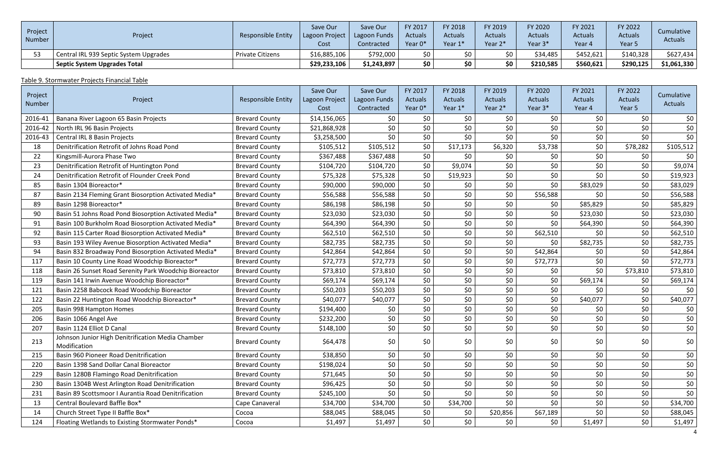| Project<br>Number | Project                                | Responsible Entity      | Save Our<br>Lagoon Project<br>Cost | Save Our<br>Lagoon Funds<br>Contracted | FY 2017<br><b>Actuals</b><br>Year 0* | <b>FY 2018</b><br><b>Actuals</b><br>Year 1* | FY 2019<br><b>Actuals</b><br>Year 2* | FY 2020<br><b>Actuals</b><br>Year 3* | <b>FY 2021</b><br><b>Actuals</b><br>Year 4 | FY 2022<br><b>Actuals</b><br>Year 5 | Cumulative<br><b>Actuals</b> |
|-------------------|----------------------------------------|-------------------------|------------------------------------|----------------------------------------|--------------------------------------|---------------------------------------------|--------------------------------------|--------------------------------------|--------------------------------------------|-------------------------------------|------------------------------|
|                   | Central IRL 939 Septic System Upgrades | <b>Private Citizens</b> | \$16,885,106                       | \$792,000                              | 50 <sub>1</sub>                      | ¢∩                                          | \$0                                  | \$34,485                             | \$452,621                                  | \$140,328                           | \$627,434                    |
|                   | <b>Septic System Upgrades Total</b>    |                         | \$29,233,106                       | \$1,243,897                            | \$0                                  | \$0                                         | \$0                                  | \$210,585                            | \$560,621                                  | \$290,125                           | \$1,061,330                  |

## Table 9. Stormwater Projects Financial Table

| Project |                                                                   |                           | Save Our               | Save Our                   | FY 2017                   | FY 2018                   | FY 2019                   | FY 2020                   | FY 2021           | FY 2022                  | Cumulative |
|---------|-------------------------------------------------------------------|---------------------------|------------------------|----------------------------|---------------------------|---------------------------|---------------------------|---------------------------|-------------------|--------------------------|------------|
| Number  | Project                                                           | <b>Responsible Entity</b> | Lagoon Project<br>Cost | Lagoon Funds<br>Contracted | <b>Actuals</b><br>Year 0* | <b>Actuals</b><br>Year 1* | <b>Actuals</b><br>Year 2* | <b>Actuals</b><br>Year 3* | Actuals<br>Year 4 | <b>Actuals</b><br>Year 5 | Actuals    |
| 2016-41 | Banana River Lagoon 65 Basin Projects                             | <b>Brevard County</b>     | \$14,156,065           | \$0                        | \$0                       | \$0                       | \$0                       | \$0                       | \$0               | \$0                      | \$0        |
| 2016-42 | North IRL 96 Basin Projects                                       | <b>Brevard County</b>     | \$21,868,928           | \$0\$                      | \$0                       | \$0                       | \$0                       | \$0                       | \$0               | \$0\$                    | \$0        |
| 2016-43 | Central IRL 8 Basin Projects                                      | <b>Brevard County</b>     | \$3,258,500            | \$0\$                      | \$0\$                     | \$0                       | \$0                       | \$0                       | \$0               | \$0\$                    | \$0        |
| 18      | Denitrification Retrofit of Johns Road Pond                       | <b>Brevard County</b>     | \$105,512              | \$105,512                  | \$0                       | \$17,173                  | \$6,320                   | \$3,738                   | \$0               | \$78,282                 | \$105,512  |
| 22      | Kingsmill-Aurora Phase Two                                        | <b>Brevard County</b>     | \$367,488              | \$367,488                  | \$0\$                     | \$0                       | \$0                       | \$0\$                     | \$0               | \$0                      | \$0        |
| 23      | Denitrification Retrofit of Huntington Pond                       | <b>Brevard County</b>     | \$104,720              | \$104,720                  | \$0                       | \$9,074                   | \$0                       | \$0                       | \$0               | \$0\$                    | \$9,074    |
| 24      | Denitrification Retrofit of Flounder Creek Pond                   | <b>Brevard County</b>     | \$75,328               | \$75,328                   | \$0                       | \$19,923                  | \$0                       | \$0                       | \$0               | \$0                      | \$19,923   |
| 85      | Basin 1304 Bioreactor*                                            | <b>Brevard County</b>     | \$90,000               | \$90,000                   | \$0                       | \$0                       | \$0\$                     | \$0                       | \$83,029          | \$0\$                    | \$83,029   |
| 87      | Basin 2134 Fleming Grant Biosorption Activated Media*             | <b>Brevard County</b>     | \$56,588               | \$56,588                   | \$0\$                     | \$0                       | \$0                       | \$56,588                  | \$0               | \$0\$                    | \$56,588   |
| 89      | Basin 1298 Bioreactor*                                            | <b>Brevard County</b>     | \$86,198               | \$86,198                   | \$0                       | \$0                       | \$0                       | \$0                       | \$85,829          | \$0                      | \$85,829   |
| 90      | Basin 51 Johns Road Pond Biosorption Activated Media*             | <b>Brevard County</b>     | \$23,030               | \$23,030                   | \$0\$                     | \$0                       | \$0\$                     | \$0                       | \$23,030          | \$0\$                    | \$23,030   |
| 91      | Basin 100 Burkholm Road Biosorption Activated Media*              | <b>Brevard County</b>     | \$64,390               | \$64,390                   | \$0\$                     | \$0                       | \$0                       | \$0                       | \$64,390          | \$0                      | \$64,390   |
| 92      | Basin 115 Carter Road Biosorption Activated Media*                | <b>Brevard County</b>     | \$62,510               | \$62,510                   | \$0\$                     | \$0                       | \$0                       | \$62,510                  | \$0               | \$0\$                    | \$62,510   |
| 93      | Basin 193 Wiley Avenue Biosorption Activated Media*               | <b>Brevard County</b>     | \$82,735               | \$82,735                   | \$0\$                     | \$0                       | \$0\$                     | \$0                       | \$82,735          | \$0                      | \$82,735   |
| 94      | Basin 832 Broadway Pond Biosorption Activated Media*              | <b>Brevard County</b>     | \$42,864               | \$42,864                   | \$0\$                     | \$0                       | \$0                       | \$42,864                  | \$0               | \$0\$                    | \$42,864   |
| 117     | Basin 10 County Line Road Woodchip Bioreactor*                    | <b>Brevard County</b>     | \$72,773               | \$72,773                   | \$0                       | \$0                       | \$0                       | \$72,773                  | \$0               | \$0                      | \$72,773   |
| 118     | Basin 26 Sunset Road Serenity Park Woodchip Bioreactor            | <b>Brevard County</b>     | \$73,810               | \$73,810                   | \$0                       | \$0                       | \$0                       | \$0                       | \$0               | \$73,810                 | \$73,810   |
| 119     | Basin 141 Irwin Avenue Woodchip Bioreactor*                       | <b>Brevard County</b>     | \$69,174               | \$69,174                   | \$0\$                     | \$0                       | \$0\$                     | \$0                       | \$69,174          | \$0                      | \$69,174   |
| 121     | Basin 2258 Babcock Road Woodchip Bioreactor                       | <b>Brevard County</b>     | \$50,203               | \$50,203                   | \$0                       | \$0                       | \$0                       | \$0\$                     | \$0               | \$0                      | \$0        |
| 122     | Basin 22 Huntington Road Woodchip Bioreactor*                     | <b>Brevard County</b>     | \$40,077               | \$40,077                   | \$0                       | \$0                       | \$0\$                     | \$0                       | \$40,077          | \$0                      | \$40,077   |
| 205     | Basin 998 Hampton Homes                                           | <b>Brevard County</b>     | \$194,400              | \$0\$                      | \$0                       | \$0                       | \$0                       | \$0                       | \$0               | \$0\$                    | \$0        |
| 206     | Basin 1066 Angel Ave                                              | <b>Brevard County</b>     | \$232,200              | \$0                        | \$0                       | \$0                       | \$0                       | \$0\$                     | \$0\$             | \$0                      | \$0        |
| 207     | Basin 1124 Elliot D Canal                                         | <b>Brevard County</b>     | \$148,100              | \$0                        | \$0                       | \$0                       | \$0                       | \$0                       | \$0               | \$0                      | \$0        |
| 213     | Johnson Junior High Denitrification Media Chamber<br>Modification | <b>Brevard County</b>     | \$64,478               | \$0                        | \$0                       | \$0                       | \$0                       | \$0\$                     | \$0               | \$0                      | \$0        |
| 215     | Basin 960 Pioneer Road Denitrification                            | <b>Brevard County</b>     | \$38,850               | \$0                        | \$0                       | \$0                       | \$0\$                     | \$0\$                     | \$0               | \$0\$                    | \$0        |
| 220     | Basin 1398 Sand Dollar Canal Bioreactor                           | <b>Brevard County</b>     | \$198,024              | \$0\$                      | \$0                       | \$0                       | \$0                       | \$0\$                     | \$0               | \$0                      | \$0        |
| 229     | Basin 1280B Flamingo Road Denitrification                         | <b>Brevard County</b>     | \$71,645               | \$0\$                      | \$0                       | \$0                       | \$0                       | \$0\$                     | \$0               | \$0\$                    | \$0        |
| 230     | Basin 1304B West Arlington Road Denitrification                   | <b>Brevard County</b>     | \$96,425               | \$0                        | \$0                       | \$0                       | \$0\$                     | \$0\$                     | \$0               | \$0                      | \$0        |
| 231     | Basin 89 Scottsmoor I Aurantia Road Denitrification               | <b>Brevard County</b>     | \$245,100              | \$0                        | \$0\$                     | \$0                       | \$0\$                     | \$0\$                     | \$0\$             | \$0\$                    | \$0        |
| 13      | Central Boulevard Baffle Box*                                     | Cape Canaveral            | \$34,700               | \$34,700                   | \$0                       | \$34,700                  | \$0\$                     | \$0\$                     | \$0               | \$0                      | \$34,700   |
| 14      | Church Street Type II Baffle Box*                                 | Cocoa                     | \$88,045               | \$88,045                   | \$0                       | \$0                       | \$20,856                  | \$67,189                  | \$0               | \$0                      | \$88,045   |
| 124     | Floating Wetlands to Existing Stormwater Ponds*                   | Cocoa                     | \$1,497                | \$1,497                    | \$0\$                     | \$0                       | \$0\$                     | \$0 <sub>1</sub>          | \$1,497           | \$0\$                    | \$1,497    |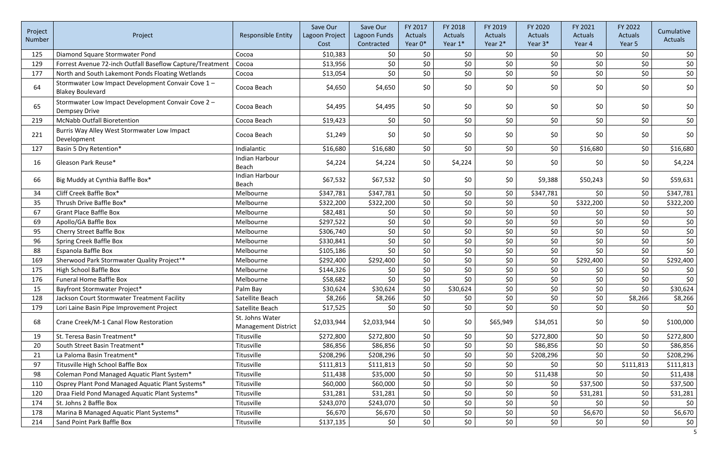| Project<br>Number | Project                                                                       | <b>Responsible Entity</b>                     | Save Our<br>Lagoon Project<br>Cost | Save Our<br>Lagoon Funds<br>Contracted | FY 2017<br><b>Actuals</b><br>Year 0* | FY 2018<br><b>Actuals</b><br>Year 1* | FY 2019<br><b>Actuals</b><br>Year 2* | FY 2020<br><b>Actuals</b><br>Year 3* | FY 2021<br><b>Actuals</b><br>Year 4 | FY 2022<br><b>Actuals</b><br>Year 5 | Cumulative<br>Actuals |
|-------------------|-------------------------------------------------------------------------------|-----------------------------------------------|------------------------------------|----------------------------------------|--------------------------------------|--------------------------------------|--------------------------------------|--------------------------------------|-------------------------------------|-------------------------------------|-----------------------|
| 125               | Diamond Square Stormwater Pond                                                | Cocoa                                         | \$10,383                           | \$0                                    | \$0                                  | \$0                                  | \$0                                  | \$0                                  | \$0                                 | \$0                                 | \$0                   |
| 129               | Forrest Avenue 72-inch Outfall Baseflow Capture/Treatment                     | Cocoa                                         | \$13,956                           | \$0                                    | \$0                                  | \$0                                  | \$0                                  | \$0                                  | \$0                                 | \$0                                 | \$0                   |
| 177               | North and South Lakemont Ponds Floating Wetlands                              | Cocoa                                         | \$13,054                           | \$0                                    | \$0                                  | \$0\$                                | \$0                                  | \$0\$                                | \$0                                 | \$0\$                               | \$0                   |
| 64                | Stormwater Low Impact Development Convair Cove 1 -<br><b>Blakey Boulevard</b> | Cocoa Beach                                   | \$4,650                            | \$4,650                                | \$0                                  | \$0                                  | \$0                                  | \$0                                  | \$0                                 | \$0                                 | \$0                   |
| 65                | Stormwater Low Impact Development Convair Cove 2 -<br><b>Dempsey Drive</b>    | Cocoa Beach                                   | \$4,495                            | \$4,495                                | \$0                                  | \$0                                  | \$0                                  | \$0                                  | \$0                                 | \$0                                 | \$0                   |
| 219               | <b>McNabb Outfall Bioretention</b>                                            | Cocoa Beach                                   | \$19,423                           | \$0                                    | \$0\$                                | \$0\$                                | \$0                                  | \$0\$                                | \$0                                 | \$0\$                               | \$0                   |
| 221               | Burris Way Alley West Stormwater Low Impact<br>Development                    | Cocoa Beach                                   | \$1,249                            | \$0                                    | \$0                                  | \$0                                  | \$0                                  | \$0                                  | \$0                                 | \$0                                 | \$0                   |
| 127               | Basin 5 Dry Retention*                                                        | Indialantic                                   | \$16,680                           | \$16,680                               | \$0\$                                | \$0\$                                | \$0                                  | \$0                                  | \$16,680                            | \$0                                 | \$16,680              |
| 16                | Gleason Park Reuse*                                                           | <b>Indian Harbour</b><br>Beach                | \$4,224                            | \$4,224                                | \$0                                  | \$4,224                              | \$0                                  | \$0                                  | \$0                                 | \$0                                 | \$4,224               |
| 66                | Big Muddy at Cynthia Baffle Box*                                              | Indian Harbour<br>Beach                       | \$67,532                           | \$67,532                               | \$0                                  | \$0                                  | \$0                                  | \$9,388                              | \$50,243                            | \$0                                 | \$59,631              |
| 34                | Cliff Creek Baffle Box*                                                       | Melbourne                                     | \$347,781                          | \$347,781                              | \$0                                  | \$0                                  | \$0                                  | \$347,781                            | \$0                                 | \$0                                 | \$347,781             |
| 35                | Thrush Drive Baffle Box*                                                      | Melbourne                                     | \$322,200                          | \$322,200                              | \$0                                  | \$0                                  | \$0                                  | \$0                                  | \$322,200                           | \$0                                 | \$322,200             |
| 67                | <b>Grant Place Baffle Box</b>                                                 | Melbourne                                     | \$82,481                           | \$0                                    | \$0                                  | \$0                                  | \$0                                  | \$0\$                                | \$0                                 | \$0                                 | \$0                   |
| 69                | Apollo/GA Baffle Box                                                          | Melbourne                                     | \$297,522                          | \$0                                    | \$0                                  | \$0                                  | \$0                                  | \$0                                  | \$0                                 | \$0                                 | \$0                   |
| 95                | Cherry Street Baffle Box                                                      | Melbourne                                     | \$306,740                          | \$0\$                                  | \$0                                  | \$0                                  | \$0                                  | \$0                                  | \$0                                 | \$0                                 | $$0$$                 |
| 96                | Spring Creek Baffle Box                                                       | Melbourne                                     | \$330,841                          | \$0                                    | \$0                                  | \$0                                  | \$0                                  | \$0\$                                | \$0                                 | \$0                                 | \$0                   |
| 88                | Espanola Baffle Box                                                           | Melbourne                                     | \$105,186                          | \$0                                    | \$0                                  | \$0\$                                | \$0                                  | \$0                                  | \$0                                 | \$0\$                               | \$0                   |
| 169               | Sherwood Park Stormwater Quality Project <sup>+*</sup>                        | Melbourne                                     | \$292,400                          | \$292,400                              | \$0                                  | \$0                                  | \$0                                  | \$0                                  | \$292,400                           | \$0                                 | \$292,400             |
| 175               | <b>High School Baffle Box</b>                                                 | Melbourne                                     | \$144,326                          | \$0                                    | \$0                                  | \$0                                  | \$0                                  | \$0                                  | \$0                                 | \$0                                 | \$0                   |
| 176               | Funeral Home Baffle Box                                                       | Melbourne                                     | \$58,682                           | \$0                                    | \$0                                  | \$0                                  | \$0                                  | \$0                                  | \$0                                 | \$0                                 | \$0                   |
| 15                | Bayfront Stormwater Project*                                                  | Palm Bay                                      | \$30,624                           | \$30,624                               | \$0                                  | \$30,624                             | \$0                                  | \$0                                  | \$0                                 | \$0                                 | \$30,624              |
| 128               | Jackson Court Stormwater Treatment Facility                                   | Satellite Beach                               | \$8,266                            | \$8,266                                | \$0\$                                | \$0                                  | \$0                                  | \$0\$                                | \$0                                 | \$8,266                             | \$8,266               |
| 179               | Lori Laine Basin Pipe Improvement Project                                     | Satellite Beach                               | \$17,525                           | \$0                                    | \$0                                  | \$0\$                                | \$0                                  | \$0\$                                | \$0                                 | \$0\$                               | \$0                   |
| 68                | Crane Creek/M-1 Canal Flow Restoration                                        | St. Johns Water<br><b>Management District</b> | \$2,033,944                        | \$2,033,944                            | \$0                                  | \$0                                  | \$65,949                             | \$34,051                             | \$0                                 | \$0                                 | \$100,000             |
| 19                | St. Teresa Basin Treatment*                                                   | Titusville                                    | \$272,800                          | \$272,800                              | \$0\$                                | \$0                                  | \$0\$                                | \$272,800                            | \$0                                 | \$0                                 | \$272,800             |
| 20                | South Street Basin Treatment*                                                 | Titusville                                    | \$86,856                           | \$86,856                               | \$0                                  | \$0                                  | \$0                                  | \$86,856                             | \$0                                 | \$0                                 | \$86,856              |
| 21                | La Paloma Basin Treatment*                                                    | Titusville                                    | \$208,296                          | \$208,296                              | \$0\$                                | \$0                                  | \$0                                  | \$208,296                            | \$0                                 | \$0                                 | \$208,296             |
| 97                | Titusville High School Baffle Box                                             | Titusville                                    | \$111,813                          | \$111,813                              | \$0                                  | \$0                                  | \$0                                  | \$0                                  | \$0                                 | \$111,813                           | \$111,813             |
| 98                | Coleman Pond Managed Aquatic Plant System*                                    | Titusville                                    | \$11,438                           | \$35,000                               | \$0                                  | \$0                                  | \$0                                  | \$11,438                             | \$0                                 | \$0                                 | \$11,438              |
| 110               | Osprey Plant Pond Managed Aquatic Plant Systems*                              | Titusville                                    | \$60,000                           | \$60,000                               | \$0                                  | \$0                                  | \$0                                  | \$0                                  | \$37,500                            | \$0                                 | \$37,500              |
| 120               | Draa Field Pond Managed Aquatic Plant Systems*                                | Titusville                                    | \$31,281                           | \$31,281                               | \$0\$                                | \$0                                  | \$0                                  | \$0                                  | \$31,281                            | \$0\$                               | \$31,281              |
| 174               | St. Johns 2 Baffle Box                                                        | Titusville                                    | \$243,070                          | \$243,070                              | \$0\$                                | \$0\$                                | \$0                                  | \$0\$                                | \$0                                 | \$0\$                               | \$0                   |
| 178               | Marina B Managed Aquatic Plant Systems*                                       | Titusville                                    | \$6,670                            | \$6,670                                | \$0                                  | \$0                                  | \$0                                  | \$0                                  | \$6,670                             | \$0\$                               | \$6,670               |
| 214               | Sand Point Park Baffle Box                                                    | Titusville                                    | \$137,135                          | \$0                                    | \$0                                  | \$0                                  | \$0                                  | \$0                                  | \$0                                 | \$0                                 | \$0                   |
|                   |                                                                               |                                               |                                    |                                        |                                      |                                      |                                      |                                      |                                     |                                     | 5                     |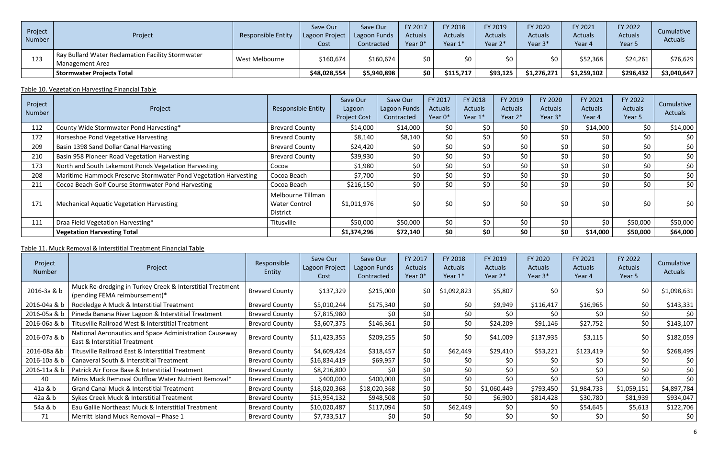| Project<br>Number | Project                                                              | <b>Responsible Entity</b> | Save Our<br>Lagoon Project<br>Cost | Save Our<br>Lagoon Funds<br>Contracted | FY 2017<br><b>Actuals</b><br>Year 0* | FY 2018<br><b>Actuals</b><br>Year 1* | FY 2019<br><b>Actuals</b><br>Year 2* | FY 2020<br><b>Actuals</b><br>Year 3* | FY 2021<br><b>Actuals</b><br>Year 4 | FY 2022<br><b>Actuals</b><br>Year 5 | Cumulative<br><b>Actuals</b> |
|-------------------|----------------------------------------------------------------------|---------------------------|------------------------------------|----------------------------------------|--------------------------------------|--------------------------------------|--------------------------------------|--------------------------------------|-------------------------------------|-------------------------------------|------------------------------|
| 123               | Ray Bullard Water Reclamation Facility Stormwater<br>Management Area | West Melbourne            | \$160,674                          | \$160,674                              | \$0                                  | \$0                                  |                                      |                                      | \$52,368                            | \$24,261                            | \$76,629                     |
|                   | <b>Stormwater Projects Total</b>                                     |                           | \$48,028,554                       | \$5,940,898                            | \$0                                  | \$115,717                            | \$93,125                             | \$1,276,271                          | \$1,259,102                         | \$296,432                           | \$3,040,647                  |

### Table 10. Vegetation Harvesting Financial Table

| Project<br>Number | Project                                                         | <b>Responsible Entity</b>                             | Save Our<br>Lagoon<br><b>Project Cost</b> | Save Our<br>Lagoon Funds<br>Contracted | FY 2017<br>Actuals<br>Year 0* | FY 2018<br><b>Actuals</b><br>Year 1* | FY 2019<br>Actuals<br>Year 2* | FY 2020<br><b>Actuals</b><br>Year 3* | FY 2021<br><b>Actuals</b><br>Year 4 | FY 2022<br><b>Actuals</b><br>Year 5 | Cumulative<br>Actuals |
|-------------------|-----------------------------------------------------------------|-------------------------------------------------------|-------------------------------------------|----------------------------------------|-------------------------------|--------------------------------------|-------------------------------|--------------------------------------|-------------------------------------|-------------------------------------|-----------------------|
| 112               | County Wide Stormwater Pond Harvesting*                         | <b>Brevard County</b>                                 | \$14,000                                  | \$14,000                               | \$0                           | \$0                                  | \$0                           | \$0                                  | \$14,000                            | \$0                                 | \$14,000              |
| 172               | Horseshoe Pond Vegetative Harvesting                            | <b>Brevard County</b>                                 | \$8,140                                   | \$8,140                                | \$0                           | \$0                                  | \$0                           | \$0                                  | \$0                                 | \$0                                 | \$0                   |
| 209               | Basin 1398 Sand Dollar Canal Harvesting                         | <b>Brevard County</b>                                 | \$24,420                                  | \$0                                    | \$0\$                         | \$0                                  | \$0                           | \$0                                  | \$0                                 | \$0                                 | \$0\$                 |
| 210               | Basin 958 Pioneer Road Vegetation Harvesting                    | <b>Brevard County</b>                                 | \$39,930                                  | \$0                                    | \$0                           | \$0                                  | \$0                           | \$0                                  | \$0                                 | \$0                                 | \$0                   |
| 173               | North and South Lakemont Ponds Vegetation Harvesting            | Cocoa                                                 | \$1,980                                   | \$0                                    | \$0\$                         | \$0                                  | \$0                           | \$0                                  | \$0                                 | \$0                                 | \$0                   |
| 208               | Maritime Hammock Preserve Stormwater Pond Vegetation Harvesting | Cocoa Beach                                           | \$7,700                                   | \$0                                    | \$0\$                         | \$0                                  | \$0                           | \$0                                  | \$0                                 | \$0                                 | \$0\$                 |
| 211               | Cocoa Beach Golf Course Stormwater Pond Harvesting              | Cocoa Beach                                           | \$216,150                                 | \$0                                    | \$0                           | \$0                                  | \$0                           | \$0                                  | \$0                                 | \$0                                 | \$0\$                 |
| 171               | <b>Mechanical Aquatic Vegetation Harvesting</b>                 | Melbourne Tillman<br><b>Water Control</b><br>District | \$1,011,976                               | \$0                                    | \$0                           | \$0                                  | \$0                           | \$0                                  | \$0                                 | \$0                                 | \$0                   |
| 111               | Draa Field Vegetation Harvesting*                               | Titusville                                            | \$50,000                                  | \$50,000                               | \$0                           | \$0                                  | \$0                           | \$0                                  | \$0                                 | \$50,000                            | \$50,000              |
|                   | <b>Vegetation Harvesting Total</b>                              |                                                       | \$1,374,296                               | \$72,140                               | \$0                           | \$0                                  | \$0                           | \$0                                  | \$14,000                            | \$50,000                            | \$64,000              |

## Table 11. Muck Removal & Interstitial Treatment Financial Table

| Project<br>Number | Project                                                                                    | Responsible<br>Entity | Save Our<br>Lagoon Project<br>Cost | Save Our<br>Lagoon Funds<br>Contracted | FY 2017<br><b>Actuals</b><br>Year 0* | FY 2018<br><b>Actuals</b><br>Year 1* | FY 2019<br><b>Actuals</b><br>Year 2* | FY 2020<br><b>Actuals</b><br>Year 3* | FY 2021<br><b>Actuals</b><br>Year 4 | FY 2022<br>Actuals<br>Year 5 | Cumulative<br>Actuals |
|-------------------|--------------------------------------------------------------------------------------------|-----------------------|------------------------------------|----------------------------------------|--------------------------------------|--------------------------------------|--------------------------------------|--------------------------------------|-------------------------------------|------------------------------|-----------------------|
| 2016-3a & b       | Muck Re-dredging in Turkey Creek & Interstitial Treatment<br>(pending FEMA reimbursement)* | <b>Brevard County</b> | \$137,329                          | \$215,000                              | \$0                                  | \$1,092,823                          | \$5,807                              | \$0                                  | \$0                                 | \$0                          | \$1,098,631           |
| 2016-04a & b      | Rockledge A Muck & Interstitial Treatment                                                  | <b>Brevard County</b> | \$5,010,244                        | \$175,340                              | \$0                                  | \$0                                  | \$9,949                              | \$116,417                            | \$16,965                            | \$0                          | \$143,331             |
| 2016-05a & b      | Pineda Banana River Lagoon & Interstitial Treatment                                        | <b>Brevard County</b> | \$7,815,980                        | \$0                                    | \$0                                  | \$0                                  | \$0                                  | \$0                                  | \$0                                 | \$0                          | \$0                   |
| 2016-06a & b      | Titusville Railroad West & Interstitial Treatment                                          | <b>Brevard County</b> | \$3,607,375                        | \$146,361                              | \$0                                  | \$0                                  | \$24,209                             | \$91,146                             | \$27,752                            | \$0\$                        | \$143,107             |
| 2016-07a & b      | National Aeronautics and Space Administration Causeway<br>East & Interstitial Treatment    | <b>Brevard County</b> | \$11,423,355                       | \$209,255                              | \$0                                  | \$0                                  | \$41,009                             | \$137,935                            | \$3,115                             | \$0                          | \$182,059             |
| 2016-08a &b       | Titusville Railroad East & Interstitial Treatment                                          | <b>Brevard County</b> | \$4,609,424                        | \$318,457                              | \$0\$                                | \$62,449                             | \$29,410                             | \$53,221                             | \$123,419                           | \$0                          | \$268,499             |
| 2016-10a & b      | Canaveral South & Interstitial Treatment                                                   | <b>Brevard County</b> | \$16,834,419                       | \$69,957                               | \$0                                  | \$0                                  | \$0                                  | \$0                                  | \$0                                 | \$0                          | \$0                   |
| 2016-11a & b      | Patrick Air Force Base & Interstitial Treatment                                            | <b>Brevard County</b> | \$8,216,800                        | \$0                                    | \$0                                  | \$0                                  | \$0                                  | \$0                                  | \$0                                 | \$0                          | \$0                   |
| 40                | Mims Muck Removal Outflow Water Nutrient Removal*                                          | <b>Brevard County</b> | \$400,000                          | \$400,000                              | \$0                                  | \$0                                  | \$0                                  | \$0                                  | \$0                                 | \$0                          | \$0                   |
| 41a & b           | Grand Canal Muck & Interstitial Treatment                                                  | <b>Brevard County</b> | \$18,020,368                       | \$18,020,368                           | \$0                                  | \$0                                  | \$1,060,449                          | \$793,450                            | \$1,984,733                         | \$1,059,151                  | \$4,897,784           |
| 42a & b           | Sykes Creek Muck & Interstitial Treatment                                                  | <b>Brevard County</b> | \$15,954,132                       | \$948,508                              | \$0                                  | \$0                                  | \$6,900                              | \$814,428                            | \$30,780                            | \$81,939                     | \$934,047             |
| 54a & b           | Eau Gallie Northeast Muck & Interstitial Treatment                                         | <b>Brevard County</b> | \$10,020,487                       | \$117,094                              | \$0                                  | \$62,449                             | \$0                                  | \$0                                  | \$54,645                            | \$5,613                      | \$122,706             |
| 71                | Merritt Island Muck Removal - Phase 1                                                      | <b>Brevard County</b> | \$7,733,517                        | \$0                                    | \$0                                  | \$0                                  | \$0                                  | \$0                                  | \$0                                 |                              | \$0                   |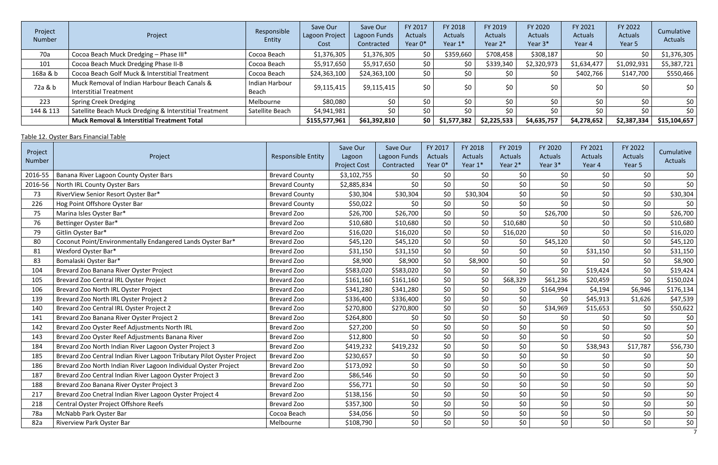| Project<br><b>Number</b> | Project                                                                        | Responsible<br>Entity   | Save Our<br>Lagoon Project<br>Cost | Save Our<br>Lagoon Funds<br>Contracted | FY 2017<br><b>Actuals</b><br>Year 0* | FY 2018<br>Actuals<br>Year 1* | FY 2019<br>Actuals<br>Year 2* | FY 2020<br><b>Actuals</b><br>Year 3* | FY 2021<br>Actuals<br>Year 4 | FY 2022<br>Actuals<br>Year 5 | Cumulative<br>Actuals |
|--------------------------|--------------------------------------------------------------------------------|-------------------------|------------------------------------|----------------------------------------|--------------------------------------|-------------------------------|-------------------------------|--------------------------------------|------------------------------|------------------------------|-----------------------|
| 70a                      | Cocoa Beach Muck Dredging - Phase III*                                         | Cocoa Beach             | \$1,376,305                        | \$1,376,305                            | \$0\$                                | \$359,660                     | \$708,458                     | \$308,187                            | \$0                          | \$0                          | \$1,376,305           |
| 101                      | Cocoa Beach Muck Dredging Phase II-B                                           | Cocoa Beach             | \$5,917,650                        | \$5,917,650                            | \$0                                  |                               | \$339,340                     | \$2,320,973                          | \$1,634,477                  | \$1,092,931                  | \$5,387,721           |
| 168a & b                 | Cocoa Beach Golf Muck & Interstitial Treatment                                 | Cocoa Beach             | \$24,363,100                       | \$24,363,100                           | \$0                                  | \$0                           | \$0                           |                                      | \$402,766                    | \$147,700                    | \$550,466             |
| 72a & b                  | Muck Removal of Indian Harbour Beach Canals &<br><b>Interstitial Treatment</b> | Indian Harbour<br>Beach | \$9,115,415                        | \$9,115,415                            | \$0                                  | \$0                           | \$0                           | \$0                                  | \$0                          | \$0                          | \$0                   |
| 223                      | <b>Spring Creek Dredging</b>                                                   | Melbourne               | \$80,080                           | \$0                                    | \$0                                  | \$0                           | \$0                           | \$0.                                 | \$0                          | \$0                          | \$0                   |
| 144 & 113                | Satellite Beach Muck Dredging & Interstitial Treatment                         | Satellite Beach         | \$4,941,981                        | \$0                                    | \$0                                  | \$0                           | \$0                           | SO.                                  | \$0                          | SO.                          | \$0                   |
|                          | <b>Muck Removal &amp; Interstitial Treatment Total</b>                         |                         | \$155,577,961                      | \$61,392,810                           | \$0 <sub>1</sub>                     | \$1,577,382                   | \$2,225,533                   | \$4,635,757                          | \$4,278,652                  | \$2,387,334                  | \$15,104,657          |

## Table 12. Oyster Bars Financial Table

| Project<br>Number | Project                                                                | <b>Responsible Entity</b> | Save Our<br>Lagoon<br><b>Project Cost</b> | Save Our<br>Lagoon Funds<br>Contracted | FY 2017<br>Actuals<br>Year 0* | FY 2018<br>Actuals<br>Year 1* | FY 2019<br>Actuals<br>Year 2* | FY 2020<br><b>Actuals</b><br>Year 3* | FY 2021<br>Actuals<br>Year 4 | FY 2022<br><b>Actuals</b><br>Year 5 | Cumulative<br>Actuals |
|-------------------|------------------------------------------------------------------------|---------------------------|-------------------------------------------|----------------------------------------|-------------------------------|-------------------------------|-------------------------------|--------------------------------------|------------------------------|-------------------------------------|-----------------------|
| 2016-55           | Banana River Lagoon County Oyster Bars                                 | <b>Brevard County</b>     | \$3,102,755                               | \$0                                    | \$0\$                         | \$0\$                         | \$0                           | \$0                                  | \$0                          | \$0\$                               | \$0                   |
| 2016-56           | North IRL County Oyster Bars                                           | <b>Brevard County</b>     | \$2,885,834                               | \$0                                    | \$0                           | \$0                           | \$0\$                         | \$0                                  | \$0                          | \$0                                 | \$0                   |
| 73                | RiverView Senior Resort Oyster Bar*                                    | <b>Brevard County</b>     | \$30,304                                  | \$30,304                               | \$0                           | \$30,304                      | \$0\$                         | \$0                                  | \$0                          | \$0                                 | \$30,304              |
| 226               | Hog Point Offshore Oyster Bar                                          | <b>Brevard County</b>     | \$50,022                                  | \$0\$                                  | \$0                           | \$0                           | \$0\$                         | \$0                                  | \$0                          | \$0\$                               | \$0                   |
| 75                | Marina Isles Oyster Bar*                                               | Brevard Zoo               | \$26,700                                  | \$26,700                               | \$0                           | \$0\$                         | \$0                           | \$26,700                             | \$0                          | \$0                                 | \$26,700              |
| 76                | Bettinger Oyster Bar*                                                  | Brevard Zoo               | \$10,680                                  | \$10,680                               | \$0                           | \$0                           | \$10,680                      | \$0                                  | \$0                          | \$0                                 | \$10,680              |
| 79                | Gitlin Oyster Bar*                                                     | Brevard Zoo               | \$16,020                                  | \$16,020                               | \$0\$                         | \$0                           | \$16,020                      | \$0                                  | \$0                          | \$0                                 | \$16,020              |
| 80                | Coconut Point/Environmentally Endangered Lands Oyster Bar*             | Brevard Zoo               | \$45,120                                  | \$45,120                               | \$0                           | \$0                           | \$0                           | \$45,120                             | \$0                          | \$0                                 | \$45,120              |
| 81                | Wexford Oyster Bar*                                                    | Brevard Zoo               | \$31,150                                  | \$31,150                               | \$0\$                         | \$0                           | \$0\$                         | \$0                                  | \$31,150                     | \$0                                 | \$31,150              |
| 83                | Bomalaski Oyster Bar*                                                  | Brevard Zoo               | \$8,900                                   | \$8,900                                | \$0                           | \$8,900                       | \$0\$                         | \$0\$                                | \$0                          | \$0                                 | \$8,900               |
| 104               | Brevard Zoo Banana River Oyster Project                                | Brevard Zoo               | \$583,020                                 | \$583,020                              | \$0\$                         | \$0\$                         | \$0                           | \$0                                  | \$19,424                     | \$0                                 | \$19,424              |
| 105               | Brevard Zoo Central IRL Oyster Project                                 | Brevard Zoo               | \$161,160                                 | \$161,160                              | \$0                           | \$0                           | \$68,329                      | \$61,236                             | \$20,459                     | \$0                                 | \$150,024             |
| 106               | Brevard Zoo North IRL Oyster Project                                   | Brevard Zoo               | \$341,280                                 | \$341,280                              | \$0                           | \$0                           | \$0                           | \$164,994                            | \$4,194                      | \$6,946                             | \$176,134             |
| 139               | Brevard Zoo North IRL Oyster Project 2                                 | Brevard Zoo               | \$336,400                                 | \$336,400                              | \$0                           | \$0                           | \$0                           | \$0                                  | \$45,913                     | \$1,626                             | \$47,539              |
| 140               | Brevard Zoo Central IRL Oyster Project 2                               | Brevard Zoo               | \$270,800                                 | \$270,800                              | \$0                           | \$0\$                         | \$0\$                         | \$34,969                             | \$15,653                     | \$0                                 | \$50,622              |
| 141               | Brevard Zoo Banana River Oyster Project 2                              | Brevard Zoo               | \$264,800                                 | \$0                                    | \$0                           | \$0                           | \$0                           | \$0                                  | \$0                          | \$0\$                               | \$0                   |
| 142               | Brevard Zoo Oyster Reef Adjustments North IRL                          | Brevard Zoo               | \$27,200                                  | \$0                                    | \$0                           | \$0                           | \$0\$                         | \$0                                  | \$0                          | \$0\$                               | $$0$$                 |
| 143               | Brevard Zoo Oyster Reef Adjustments Banana River                       | Brevard Zoo               | \$12,800                                  | \$0                                    | \$0                           | \$0                           | \$0                           | \$0                                  | \$0                          | \$0                                 | \$0                   |
| 184               | Brevard Zoo North Indian River Lagoon Oyster Project 3                 | Brevard Zoo               | \$419,232                                 | \$419,232                              | \$0                           | \$0                           | \$0\$                         | \$0                                  | \$38,943                     | \$17,787                            | \$56,730              |
| 185               | Brevard Zoo Central Indian River Lagoon Tributary Pilot Oyster Project | Brevard Zoo               | \$230,657                                 | \$0                                    | \$0\$                         | \$0                           | \$0\$                         | \$0                                  | \$0                          | \$0\$                               | \$0                   |
| 186               | Brevard Zoo North Indian River Lagoon Individual Oyster Project        | Brevard Zoo               | \$173,092                                 | \$0                                    | \$0                           | \$0\$                         | \$0                           | \$0                                  | \$0                          | \$0\$                               | \$0                   |
| 187               | Brevard Zoo Central Indian River Lagoon Oyster Project 3               | Brevard Zoo               | \$86,546                                  | \$0                                    | \$0                           | \$0                           | \$0\$                         | \$0                                  | \$0                          | \$0\$                               | $\overline{\xi_0}$    |
| 188               | Brevard Zoo Banana River Oyster Project 3                              | Brevard Zoo               | \$56,771                                  | \$0                                    | \$0                           | \$0                           | \$0                           | \$0                                  | \$0                          | \$0                                 | $$0$$                 |
| 217               | Brevard Zoo Cnetral Indian River Lagoon Oyster Project 4               | Brevard Zoo               | \$138,156                                 | \$0                                    | \$0                           | \$0                           | \$0                           | \$0                                  | \$0                          | \$0                                 | $\frac{$0}{$0}$       |
| 218               | Central Oyster Project Offshore Reefs                                  | Brevard Zoo               | \$357,300                                 | \$0                                    | \$0                           | \$0                           | \$0\$                         | \$0                                  | \$0                          | \$0\$                               |                       |
| 78a               | McNabb Park Oyster Bar                                                 | Cocoa Beach               | \$34,056                                  | \$0                                    | \$0\$                         | \$0                           | \$0\$                         | \$0                                  | \$0                          | \$0\$                               | $$0$$                 |
| 82a               | Riverview Park Oyster Bar                                              | Melbourne                 | \$108,790                                 | \$0                                    | \$0                           | \$0                           | \$0                           | \$0\$                                | \$0                          | \$0\$                               | $$0$                  |
|                   |                                                                        |                           |                                           |                                        |                               |                               |                               |                                      |                              |                                     | $\overline{7}$        |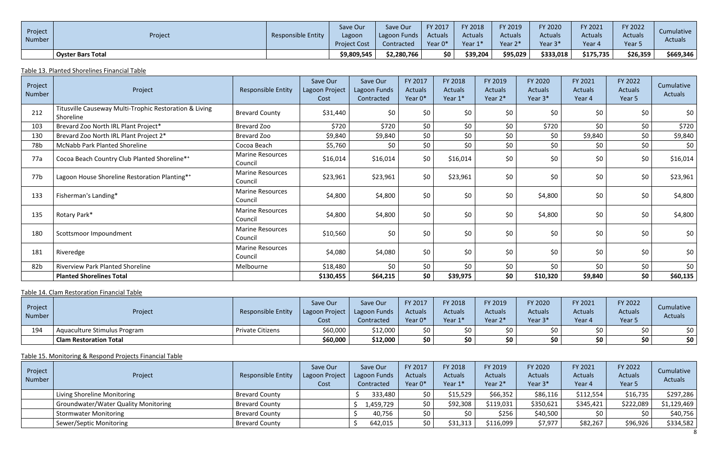| Project<br>Number | Project                  | <b>Responsible Entity</b> | Save Our<br>Lagoon<br><b>Project Cost</b> | Save Our<br>  Lagoon Funds<br>Contracted | FY 2017<br>Actuals<br>Year 0* | FY 2018<br><b>Actuals</b><br>Year 1 | FY 2019<br><b>Actuals</b><br>Year 2* | <b>FY 2020</b><br><b>Actuals</b><br>Year 3* | FY 2021<br><b>Actuals</b><br>Vear 4 | FY 2022<br><b>Actuals</b><br>Year <sub>5</sub> | Cumulative<br><b>Actuals</b> |
|-------------------|--------------------------|---------------------------|-------------------------------------------|------------------------------------------|-------------------------------|-------------------------------------|--------------------------------------|---------------------------------------------|-------------------------------------|------------------------------------------------|------------------------------|
|                   | <b>Oyster Bars Total</b> |                           | \$9,809,545                               | \$2,280,766                              | \$0                           | \$39,204                            | \$95,029                             | \$333,018                                   | \$175,735                           | \$26,359                                       | \$669,346                    |

## Table 13. Planted Shorelines Financial Table

| Project<br>Number | Project                                                             | <b>Responsible Entity</b>          | Save Our<br>Lagoon Project<br>Cost | Save Our<br>Lagoon Funds<br>Contracted | FY 2017<br><b>Actuals</b><br>Year 0* | FY 2018<br><b>Actuals</b><br>Year 1* | FY 2019<br><b>Actuals</b><br>Year 2* | FY 2020<br><b>Actuals</b><br>Year 3* | FY 2021<br><b>Actuals</b><br>Year 4 | FY 2022<br>Actuals<br>Year 5 | Cumulative<br>Actuals |
|-------------------|---------------------------------------------------------------------|------------------------------------|------------------------------------|----------------------------------------|--------------------------------------|--------------------------------------|--------------------------------------|--------------------------------------|-------------------------------------|------------------------------|-----------------------|
| 212               | Titusville Causeway Multi-Trophic Restoration & Living<br>Shoreline | <b>Brevard County</b>              | \$31,440                           | \$0                                    | \$0                                  | \$0                                  | \$0                                  | \$0                                  | \$0                                 | \$0                          | \$0                   |
| 103               | Brevard Zoo North IRL Plant Project*                                | Brevard Zoo                        | \$720                              | \$720                                  | \$0                                  | \$0                                  | \$0                                  | \$720                                | \$0                                 | \$0                          | \$720                 |
| 130               | Brevard Zoo North IRL Plant Project 2*                              | Brevard Zoo                        | \$9,840                            | \$9,840                                | \$0\$                                | \$0                                  | \$0                                  | \$0                                  | \$9,840                             | \$0                          | \$9,840               |
| 78b               | <b>McNabb Park Planted Shoreline</b>                                | Cocoa Beach                        | \$5,760                            | \$0                                    | \$0                                  | \$0                                  | \$0                                  | \$0                                  | \$0                                 | \$0                          | \$0                   |
| 77a               | Cocoa Beach Country Club Planted Shoreline**                        | <b>Marine Resources</b><br>Council | \$16,014                           | \$16,014                               | \$0                                  | \$16,014                             | \$0                                  | \$0                                  | \$0\$                               | \$0                          | \$16,014              |
| 77b               | Lagoon House Shoreline Restoration Planting**                       | <b>Marine Resources</b><br>Council | \$23,961                           | \$23,961                               | \$0                                  | \$23,961                             | \$0                                  | \$0                                  | \$0                                 | \$0                          | \$23,961              |
| 133               | Fisherman's Landing*                                                | <b>Marine Resources</b><br>Council | \$4,800                            | \$4,800                                | \$0                                  | \$0                                  | \$0                                  | \$4,800                              | \$0                                 | \$0                          | \$4,800               |
| 135               | Rotary Park*                                                        | <b>Marine Resources</b><br>Council | \$4,800                            | \$4,800                                | \$0                                  | \$0                                  | \$0                                  | \$4,800                              | \$0                                 | \$0                          | \$4,800               |
| 180               | Scottsmoor Impoundment                                              | <b>Marine Resources</b><br>Council | \$10,560                           | \$0                                    | \$0                                  | \$0                                  | \$0                                  | \$0                                  | \$0                                 | \$0                          | \$0                   |
| 181               | Riveredge                                                           | <b>Marine Resources</b><br>Council | \$4,080                            | \$4,080                                | \$0                                  | \$0                                  | \$0                                  | \$0                                  | \$0                                 | \$0                          | \$0                   |
| 82b               | Riverview Park Planted Shoreline                                    | Melbourne                          | \$18,480                           | \$0\$                                  | \$0\$                                | \$0                                  | \$0                                  | \$0                                  | \$0\$                               | \$0                          | \$0                   |
|                   | <b>Planted Shorelines Total</b>                                     |                                    | \$130,455                          | \$64,215                               | \$0                                  | \$39,975                             | \$0                                  | \$10,320                             | \$9,840                             | \$0                          | \$60,135              |

## Table 14. Clam Restoration Financial Table

| Project<br>Number | Project                       | <b>Responsible Entity</b> | Save Our<br>Lagoon Project<br>Cost | Save Our<br>Lagoon Funds<br>Contracted | FY 2017<br><b>Actuals</b><br>Year 0* | FY 2018<br><b>Actuals</b><br>Year 1* | FY 2019<br><b>Actuals</b><br>Year 2* | FY 2020<br><b>Actuals</b><br>Year 3* | FY 2021<br><b>Actuals</b><br>Year 4 | FY 2022<br><b>Actuals</b><br>Year 5 | Cumulative<br><b>Actuals</b> |
|-------------------|-------------------------------|---------------------------|------------------------------------|----------------------------------------|--------------------------------------|--------------------------------------|--------------------------------------|--------------------------------------|-------------------------------------|-------------------------------------|------------------------------|
| 194               | Aquaculture Stimulus Program  | <b>Private Citizens</b>   | \$60,000                           | \$12,000                               | \$0                                  | ¢∩                                   |                                      |                                      | ל∩                                  | SO.                                 | \$0                          |
|                   | <b>Clam Restoration Total</b> |                           | \$60,000                           | \$12,000                               | \$0                                  | \$0                                  | \$0                                  | cη                                   | \$0                                 | \$0                                 | \$0                          |

## Table 15. Monitoring & Respond Projects Financial Table

| Project<br>Number | Project                                     | Responsible Entity    | Save Our<br>Lagoon Project<br><b>Cost</b> | Save Our<br>Lagoon Funds<br>Contracted | FY 2017<br><b>Actuals</b><br>Year 0* | FY 2018<br><b>Actuals</b><br>Year 1* | FY 2019<br><b>Actuals</b><br>Year 2* | FY 2020<br><b>Actuals</b><br>Year 3* | FY 2021<br><b>Actuals</b><br>Year 4 | FY 2022<br><b>Actuals</b><br>Year 5 | Cumulative<br><b>Actuals</b> |
|-------------------|---------------------------------------------|-----------------------|-------------------------------------------|----------------------------------------|--------------------------------------|--------------------------------------|--------------------------------------|--------------------------------------|-------------------------------------|-------------------------------------|------------------------------|
|                   | Living Shoreline Monitoring                 | <b>Brevard County</b> |                                           | 333,480                                | \$0                                  | \$15,529                             | \$66,352                             | \$86,116                             | \$112,554                           | \$16,735                            | \$297,286                    |
|                   | <b>Groundwater/Water Quality Monitoring</b> | <b>Brevard County</b> |                                           | 1,459,729 <sup> </sup>                 | \$0                                  | \$92,308                             | \$119,031                            | \$350,621                            | \$345,421                           | \$222,089                           | \$1,129,469                  |
|                   | <b>Stormwater Monitoring</b>                | <b>Brevard County</b> |                                           | 40,756                                 | \$0                                  | \$0                                  | \$256                                | \$40,500                             | \$0                                 |                                     | \$40,756                     |
|                   | Sewer/Septic Monitoring                     | <b>Brevard County</b> |                                           | 642,015                                | \$0                                  | \$31,313                             | \$116,099                            | \$7,977                              | \$82,267                            | \$96,926                            | \$334,582                    |